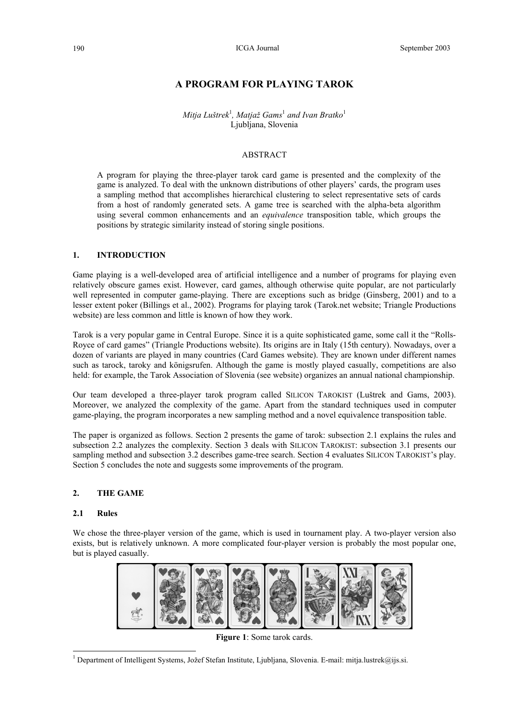# **A PROGRAM FOR PLAYING TAROK**

*Mitja Luštrek*<sup>1</sup> *, Matjaž Gams*<sup>1</sup>  *and Ivan Bratko*<sup>1</sup> Ljubljana, Slovenia

## ABSTRACT

A program for playing the three-player tarok card game is presented and the complexity of the game is analyzed. To deal with the unknown distributions of other players' cards, the program uses a sampling method that accomplishes hierarchical clustering to select representative sets of cards from a host of randomly generated sets. A game tree is searched with the alpha-beta algorithm using several common enhancements and an *equivalence* transposition table, which groups the positions by strategic similarity instead of storing single positions.

## **1. INTRODUCTION**

Game playing is a well-developed area of artificial intelligence and a number of programs for playing even relatively obscure games exist. However, card games, although otherwise quite popular, are not particularly well represented in computer game-playing. There are exceptions such as bridge (Ginsberg, 2001) and to a lesser extent poker (Billings et al., 2002). Programs for playing tarok (Tarok.net website; Triangle Productions website) are less common and little is known of how they work.

Tarok is a very popular game in Central Europe. Since it is a quite sophisticated game, some call it the "Rolls-Royce of card games" (Triangle Productions website). Its origins are in Italy (15th century). Nowadays, over a dozen of variants are played in many countries (Card Games website). They are known under different names such as tarock, taroky and königsrufen. Although the game is mostly played casually, competitions are also held: for example, the Tarok Association of Slovenia (see website) organizes an annual national championship.

Our team developed a three-player tarok program called SILICON TAROKIST (Luštrek and Gams, 2003). Moreover, we analyzed the complexity of the game. Apart from the standard techniques used in computer game-playing, the program incorporates a new sampling method and a novel equivalence transposition table.

The paper is organized as follows. Section 2 presents the game of tarok: subsection 2.1 explains the rules and subsection 2.2 analyzes the complexity. Section 3 deals with SILICON TAROKIST: subsection 3.1 presents our sampling method and subsection 3.2 describes game-tree search. Section 4 evaluates SILICON TAROKIST's play. Section 5 concludes the note and suggests some improvements of the program.

# **2. THE GAME**

#### **2.1 Rules**

l

We chose the three-player version of the game, which is used in tournament play. A two-player version also exists, but is relatively unknown. A more complicated four-player version is probably the most popular one, but is played casually.



**Figure 1**: Some tarok cards.

<sup>&</sup>lt;sup>1</sup> Department of Intelligent Systems, Jožef Stefan Institute, Ljubljana, Slovenia. E-mail: mitja.lustrek@ijs.si.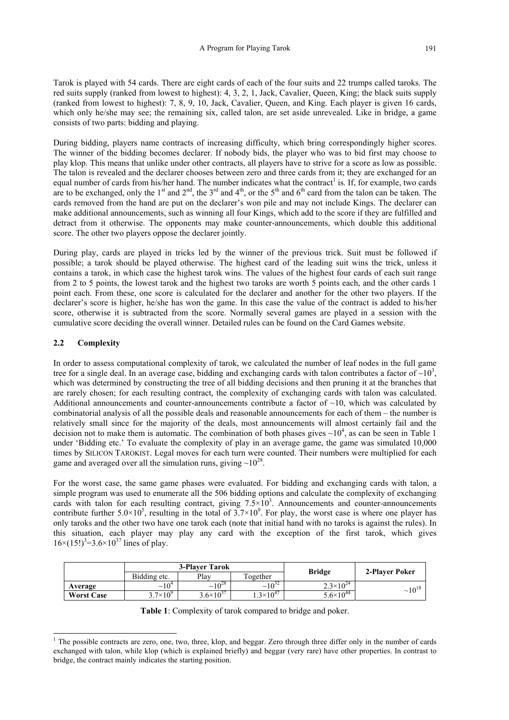Tarok is played with 54 cards. There are eight cards of each of the four suits and 22 trumps called taroks. The red suits supply (ranked from lowest to highest): 4, 3, 2, 1, Jack, Cavalier, Queen, King; the black suits supply (ranked from lowest to highest): 7, 8, 9, 10, Jack, Cavalier, Queen, and King. Each player is given 16 cards, which only he/she may see; the remaining six, called talon, are set aside unrevealed. Like in bridge, a game consists of two parts: bidding and playing.

During bidding, players name contracts of increasing difficulty, which bring correspondingly higher scores. The winner of the bidding becomes declarer. If nobody bids, the player who was to bid first may choose to play klop. This means that unlike under other contracts, all players have to strive for a score as low as possible. The talon is revealed and the declarer chooses between zero and three cards from it; they are exchanged for an equal number of cards from his/her hand. The number indicates what the contract<sup>1</sup> is. If, for example, two cards are to be exchanged, only the 1<sup>st</sup> and  $2<sup>nd</sup>$ , the  $3<sup>rd</sup>$  and  $4<sup>th</sup>$ , or the  $5<sup>th</sup>$  and  $6<sup>th</sup>$  card from the talon can be taken. The cards removed from the hand are put on the declarer's won pile and may not include Kings. The declarer can make additional announcements, such as winning all four Kings, which add to the score if they are fulfilled and detract from it otherwise. The opponents may make counter-announcements, which double this additional score. The other two players oppose the declarer jointly.

During play, cards are played in tricks led by the winner of the previous trick. Suit must be followed if possible; a tarok should be played otherwise. The highest card of the leading suit wins the trick, unless it contains a tarok, in which case the highest tarok wins. The values of the highest four cards of each suit range from 2 to 5 points, the lowest tarok and the highest two taroks are worth 5 points each, and the other cards 1 point each. From these, one score is calculated for the declarer and another for the other two players. If the declarer's score is higher, he/she has won the game. In this case the value of the contract is added to his/her score, otherwise it is subtracted from the score. Normally several games are played in a session with the cumulative score deciding the overall winner. Detailed rules can be found on the Card Games website.

# **2.2 Complexity**

 $\overline{a}$ 

In order to assess computational complexity of tarok, we calculated the number of leaf nodes in the full game tree for a single deal. In an average case, bidding and exchanging cards with talon contributes a factor of  $\sim 10^3$ , which was determined by constructing the tree of all bidding decisions and then pruning it at the branches that are rarely chosen; for each resulting contract, the complexity of exchanging cards with talon was calculated. Additional announcements and counter-announcements contribute a factor of  $\sim$ 10, which was calculated by combinatorial analysis of all the possible deals and reasonable announcements for each of them – the number is relatively small since for the majority of the deals, most announcements will almost certainly fail and the decision not to make them is automatic. The combination of both phases gives  $\sim 10^4$ , as can be seen in Table 1 under 'Bidding etc.' To evaluate the complexity of play in an average game, the game was simulated 10,000 times by SILICON TAROKIST. Legal moves for each turn were counted. Their numbers were multiplied for each game and averaged over all the simulation runs, giving  $\sim 10^{28}$ .

For the worst case, the same game phases were evaluated. For bidding and exchanging cards with talon, a simple program was used to enumerate all the 506 bidding options and calculate the complexity of exchanging cards with talon for each resulting contract, giving  $7.5 \times 10^3$ . Announcements and counter-announcements contribute further  $5.0 \times 10^5$ , resulting in the total of  $3.7 \times 10^9$ . For play, the worst case is where one player has only taroks and the other two have one tarok each (note that initial hand with no taroks is against the rules). In this situation, each player may play any card with the exception of the first tarok, which gives  $16 \times (15!)^3 = 3.6 \times 10^{37}$  lines of play.

|                   |                   | <b>3-Player Tarok</b> |                    | <b>Bridge</b>        | 2-Player Poker |  |
|-------------------|-------------------|-----------------------|--------------------|----------------------|----------------|--|
|                   | Bidding etc.      | Play                  | Together           |                      |                |  |
| Average           | $\sim 10^4$       | $\sim\!\!10^{28}$     | $\sim 10^{32}$     | $2.3\times10^{24}$   | $~10^{18}$     |  |
| <b>Worst Case</b> | $3.7\times10^{9}$ | $3.6\times10^{37}$    | $4.3\times10^{47}$ | $5.6 \times 10^{44}$ |                |  |

|  |  |  | Table 1: Complexity of tarok compared to bridge and poker. |
|--|--|--|------------------------------------------------------------|
|--|--|--|------------------------------------------------------------|

<sup>&</sup>lt;sup>1</sup> The possible contracts are zero, one, two, three, klop, and beggar. Zero through three differ only in the number of cards exchanged with talon, while klop (which is explained briefly) and beggar (very rare) have other properties. In contrast to bridge, the contract mainly indicates the starting position.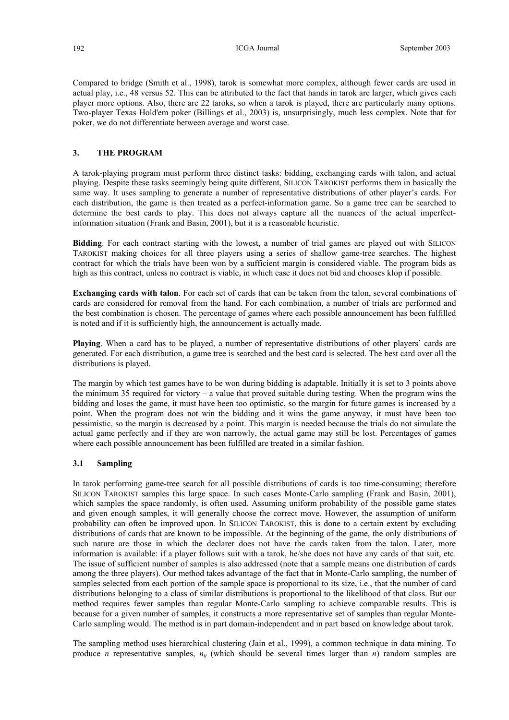Compared to bridge (Smith et al., 1998), tarok is somewhat more complex, although fewer cards are used in actual play, i.e., 48 versus 52. This can be attributed to the fact that hands in tarok are larger, which gives each player more options. Also, there are 22 taroks, so when a tarok is played, there are particularly many options. Two-player Texas Hold'em poker (Billings et al., 2003) is, unsurprisingly, much less complex. Note that for poker, we do not differentiate between average and worst case.

#### **3. THE PROGRAM**

A tarok-playing program must perform three distinct tasks: bidding, exchanging cards with talon, and actual playing. Despite these tasks seemingly being quite different, SILICON TAROKIST performs them in basically the same way. It uses sampling to generate a number of representative distributions of other player's cards. For each distribution, the game is then treated as a perfect-information game. So a game tree can be searched to determine the best cards to play. This does not always capture all the nuances of the actual imperfectinformation situation (Frank and Basin, 2001), but it is a reasonable heuristic.

**Bidding**. For each contract starting with the lowest, a number of trial games are played out with SILICON TAROKIST making choices for all three players using a series of shallow game-tree searches. The highest contract for which the trials have been won by a sufficient margin is considered viable. The program bids as high as this contract, unless no contract is viable, in which case it does not bid and chooses klop if possible.

**Exchanging cards with talon**. For each set of cards that can be taken from the talon, several combinations of cards are considered for removal from the hand. For each combination, a number of trials are performed and the best combination is chosen. The percentage of games where each possible announcement has been fulfilled is noted and if it is sufficiently high, the announcement is actually made.

**Playing**. When a card has to be played, a number of representative distributions of other players' cards are generated. For each distribution, a game tree is searched and the best card is selected. The best card over all the distributions is played.

The margin by which test games have to be won during bidding is adaptable. Initially it is set to 3 points above the minimum 35 required for victory – a value that proved suitable during testing. When the program wins the bidding and loses the game, it must have been too optimistic, so the margin for future games is increased by a point. When the program does not win the bidding and it wins the game anyway, it must have been too pessimistic, so the margin is decreased by a point. This margin is needed because the trials do not simulate the actual game perfectly and if they are won narrowly, the actual game may still be lost. Percentages of games where each possible announcement has been fulfilled are treated in a similar fashion.

### **3.1 Sampling**

In tarok performing game-tree search for all possible distributions of cards is too time-consuming; therefore SILICON TAROKIST samples this large space. In such cases Monte-Carlo sampling (Frank and Basin, 2001), which samples the space randomly, is often used. Assuming uniform probability of the possible game states and given enough samples, it will generally choose the correct move. However, the assumption of uniform probability can often be improved upon. In SILICON TAROKIST, this is done to a certain extent by excluding distributions of cards that are known to be impossible. At the beginning of the game, the only distributions of such nature are those in which the declarer does not have the cards taken from the talon. Later, more information is available: if a player follows suit with a tarok, he/she does not have any cards of that suit, etc. The issue of sufficient number of samples is also addressed (note that a sample means one distribution of cards among the three players). Our method takes advantage of the fact that in Monte-Carlo sampling, the number of samples selected from each portion of the sample space is proportional to its size, i.e., that the number of card distributions belonging to a class of similar distributions is proportional to the likelihood of that class. But our method requires fewer samples than regular Monte-Carlo sampling to achieve comparable results. This is because for a given number of samples, it constructs a more representative set of samples than regular Monte-Carlo sampling would. The method is in part domain-independent and in part based on knowledge about tarok.

The sampling method uses hierarchical clustering (Jain et al., 1999), a common technique in data mining. To produce *n* representative samples,  $n_0$  (which should be several times larger than *n*) random samples are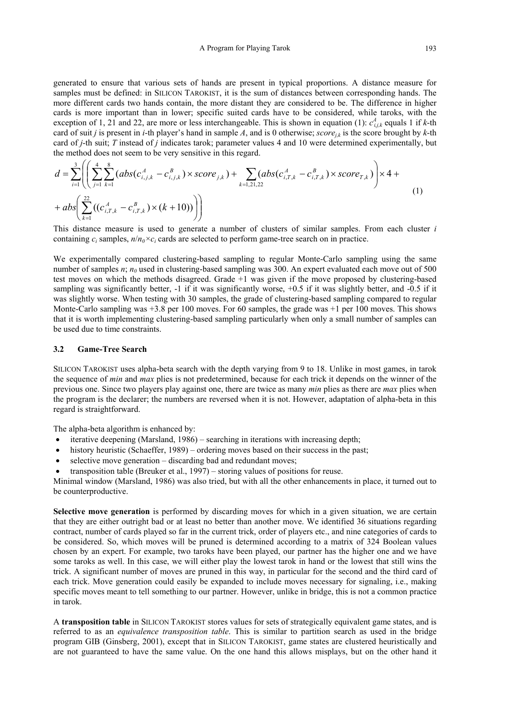generated to ensure that various sets of hands are present in typical proportions. A distance measure for samples must be defined: in SILICON TAROKIST, it is the sum of distances between corresponding hands. The more different cards two hands contain, the more distant they are considered to be. The difference in higher cards is more important than in lower; specific suited cards have to be considered, while taroks, with the exception of 1, 21 and 22, are more or less interchangeable. This is shown in equation (1):  $c_{i,j,k}^A$  equals 1 if *k*-th card of suit *j* is present in *i*-th player's hand in sample *A*, and is 0 otherwise;  $score_{ik}$  is the score brought by *k*-th card of *j*-th suit; *T* instead of *j* indicates tarok; parameter values 4 and 10 were determined experimentally, but the method does not seem to be very sensitive in this regard.

$$
d = \sum_{i=1}^{3} \left( \left( \sum_{j=1}^{4} \sum_{k=1}^{8} (abs(c_{i,j,k}^{A} - c_{i,j,k}^{B}) \times score_{j,k}) + \sum_{k=1,21,22} (abs(c_{i,T,k}^{A} - c_{i,T,k}^{B}) \times score_{T,k}) \right) \times 4 + \right. \\
+ abs \left( \sum_{k=1}^{22} ((c_{i,T,k}^{A} - c_{i,T,k}^{B}) \times (k+10)) \right) \right)
$$
\n
$$
(1)
$$

This distance measure is used to generate a number of clusters of similar samples. From each cluster *i* containing  $c_i$  samples,  $n/n_0 \times c_i$  cards are selected to perform game-tree search on in practice.

We experimentally compared clustering-based sampling to regular Monte-Carlo sampling using the same number of samples *n*;  $n_0$  used in clustering-based sampling was 300. An expert evaluated each move out of 500 test moves on which the methods disagreed. Grade +1 was given if the move proposed by clustering-based sampling was significantly better, -1 if it was significantly worse, +0.5 if it was slightly better, and -0.5 if it was slightly worse. When testing with 30 samples, the grade of clustering-based sampling compared to regular Monte-Carlo sampling was +3.8 per 100 moves. For 60 samples, the grade was +1 per 100 moves. This shows that it is worth implementing clustering-based sampling particularly when only a small number of samples can be used due to time constraints.

### **3.2 Game-Tree Search**

SILICON TAROKIST uses alpha-beta search with the depth varying from 9 to 18. Unlike in most games, in tarok the sequence of *min* and *max* plies is not predetermined, because for each trick it depends on the winner of the previous one. Since two players play against one, there are twice as many *min* plies as there are *max* plies when the program is the declarer; the numbers are reversed when it is not. However, adaptation of alpha-beta in this regard is straightforward.

The alpha-beta algorithm is enhanced by:

- iterative deepening (Marsland, 1986) searching in iterations with increasing depth;
- history heuristic (Schaeffer, 1989) ordering moves based on their success in the past;
- selective move generation discarding bad and redundant moves;
- transposition table (Breuker et al., 1997) storing values of positions for reuse.

Minimal window (Marsland, 1986) was also tried, but with all the other enhancements in place, it turned out to be counterproductive.

**Selective move generation** is performed by discarding moves for which in a given situation, we are certain that they are either outright bad or at least no better than another move. We identified 36 situations regarding contract, number of cards played so far in the current trick, order of players etc., and nine categories of cards to be considered. So, which moves will be pruned is determined according to a matrix of 324 Boolean values chosen by an expert. For example, two taroks have been played, our partner has the higher one and we have some taroks as well. In this case, we will either play the lowest tarok in hand or the lowest that still wins the trick. A significant number of moves are pruned in this way, in particular for the second and the third card of each trick. Move generation could easily be expanded to include moves necessary for signaling, i.e., making specific moves meant to tell something to our partner. However, unlike in bridge, this is not a common practice in tarok.

A **transposition table** in SILICON TAROKIST stores values for sets of strategically equivalent game states, and is referred to as an *equivalence transposition table*. This is similar to partition search as used in the bridge program GIB (Ginsberg, 2001), except that in SILICON TAROKIST, game states are clustered heuristically and are not guaranteed to have the same value. On the one hand this allows misplays, but on the other hand it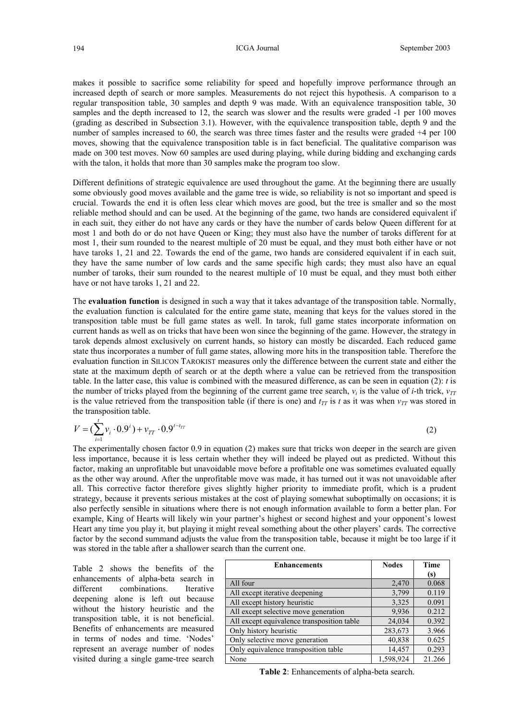makes it possible to sacrifice some reliability for speed and hopefully improve performance through an increased depth of search or more samples. Measurements do not reject this hypothesis. A comparison to a regular transposition table, 30 samples and depth 9 was made. With an equivalence transposition table, 30 samples and the depth increased to 12, the search was slower and the results were graded -1 per 100 moves (grading as described in Subsection 3.1). However, with the equivalence transposition table, depth 9 and the number of samples increased to 60, the search was three times faster and the results were graded +4 per 100 moves, showing that the equivalence transposition table is in fact beneficial. The qualitative comparison was made on 300 test moves. Now 60 samples are used during playing, while during bidding and exchanging cards with the talon, it holds that more than 30 samples make the program too slow.

Different definitions of strategic equivalence are used throughout the game. At the beginning there are usually some obviously good moves available and the game tree is wide, so reliability is not so important and speed is crucial. Towards the end it is often less clear which moves are good, but the tree is smaller and so the most reliable method should and can be used. At the beginning of the game, two hands are considered equivalent if in each suit, they either do not have any cards or they have the number of cards below Queen different for at most 1 and both do or do not have Queen or King; they must also have the number of taroks different for at most 1, their sum rounded to the nearest multiple of 20 must be equal, and they must both either have or not have taroks 1, 21 and 22. Towards the end of the game, two hands are considered equivalent if in each suit, they have the same number of low cards and the same specific high cards; they must also have an equal number of taroks, their sum rounded to the nearest multiple of 10 must be equal, and they must both either have or not have taroks 1, 21 and 22.

The **evaluation function** is designed in such a way that it takes advantage of the transposition table. Normally, the evaluation function is calculated for the entire game state, meaning that keys for the values stored in the transposition table must be full game states as well. In tarok, full game states incorporate information on current hands as well as on tricks that have been won since the beginning of the game. However, the strategy in tarok depends almost exclusively on current hands, so history can mostly be discarded. Each reduced game state thus incorporates a number of full game states, allowing more hits in the transposition table. Therefore the evaluation function in SILICON TAROKIST measures only the difference between the current state and either the state at the maximum depth of search or at the depth where a value can be retrieved from the transposition table. In the latter case, this value is combined with the measured difference, as can be seen in equation (2): *t* is the number of tricks played from the beginning of the current game tree search,  $v_i$  is the value of *i*-th trick,  $v_{TT}$ is the value retrieved from the transposition table (if there is one) and  $t_{TT}$  is t as it was when  $v_{TT}$  was stored in the transposition table.

$$
V = \left(\sum_{i=1}^{t} v_i \cdot 0.9^i\right) + v_{TT} \cdot 0.9^{t-t_{TT}} \tag{2}
$$

The experimentally chosen factor 0.9 in equation (2) makes sure that tricks won deeper in the search are given less importance, because it is less certain whether they will indeed be played out as predicted. Without this factor, making an unprofitable but unavoidable move before a profitable one was sometimes evaluated equally as the other way around. After the unprofitable move was made, it has turned out it was not unavoidable after all. This corrective factor therefore gives slightly higher priority to immediate profit, which is a prudent strategy, because it prevents serious mistakes at the cost of playing somewhat suboptimally on occasions; it is also perfectly sensible in situations where there is not enough information available to form a better plan. For example, King of Hearts will likely win your partner's highest or second highest and your opponent's lowest Heart any time you play it, but playing it might reveal something about the other players' cards. The corrective factor by the second summand adjusts the value from the transposition table, because it might be too large if it was stored in the table after a shallower search than the current one.

Table 2 shows the benefits of the enhancements of alpha-beta search in different combinations. Iterative deepening alone is left out because without the history heuristic and the transposition table, it is not beneficial. Benefits of enhancements are measured in terms of nodes and time. 'Nodes' represent an average number of nodes visited during a single game-tree search

| <b>Enhancements</b>                        | <b>Nodes</b> | <b>Time</b> |
|--------------------------------------------|--------------|-------------|
|                                            |              | (s)         |
| All four                                   | 2,470        | 0.068       |
| All except iterative deepening             | 3,799        | 0.119       |
| All except history heuristic               | 3,325        | 0.091       |
| All except selective move generation       | 9.936        | 0.212       |
| All except equivalence transposition table | 24,034       | 0.392       |
| Only history heuristic                     | 283,673      | 3.966       |
| Only selective move generation             | 40,838       | 0.625       |
| Only equivalence transposition table       | 14,457       | 0.293       |
| None                                       | 1,598,924    | 21.266      |

**Table 2**: Enhancements of alpha-beta search.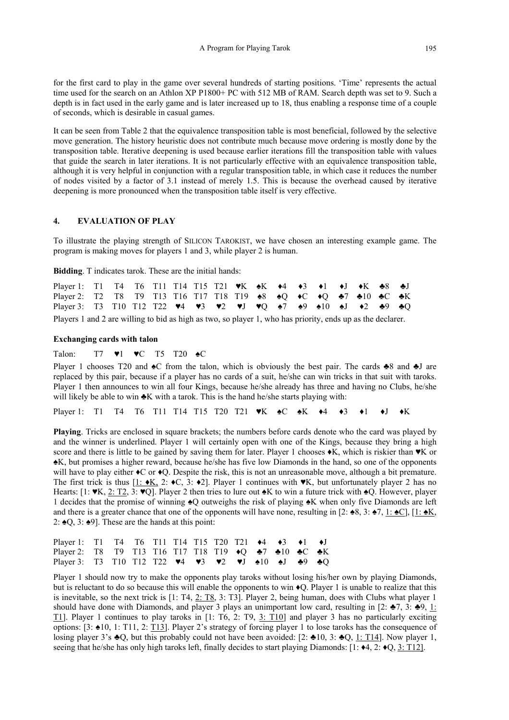for the first card to play in the game over several hundreds of starting positions. 'Time' represents the actual time used for the search on an Athlon XP P1800+ PC with 512 MB of RAM. Search depth was set to 9. Such a depth is in fact used in the early game and is later increased up to 18, thus enabling a response time of a couple of seconds, which is desirable in casual games.

It can be seen from Table 2 that the equivalence transposition table is most beneficial, followed by the selective move generation. The history heuristic does not contribute much because move ordering is mostly done by the transposition table. Iterative deepening is used because earlier iterations fill the transposition table with values that guide the search in later iterations. It is not particularly effective with an equivalence transposition table, although it is very helpful in conjunction with a regular transposition table, in which case it reduces the number of nodes visited by a factor of 3.1 instead of merely 1.5. This is because the overhead caused by iterative deepening is more pronounced when the transposition table itself is very effective.

## **4. EVALUATION OF PLAY**

To illustrate the playing strength of SILICON TAROKIST, we have chosen an interesting example game. The program is making moves for players 1 and 3, while player 2 is human.

**Bidding**. T indicates tarok. These are the initial hands:

| Player 1: T1 T4 T6 T11 T14 T15 T21 $\nblacktriangleright$ K $\blacktriangleleft$ $\blacktriangleleft$ $\blacktriangleleft$ $\blacktriangleleft$ $\blacktriangleleft$ $\blacktriangleleft$ $\blacktriangleleft$ $\blacktriangleleft$ $\blacktriangleleft$ |  |  |  |  |  |  |  |  |
|----------------------------------------------------------------------------------------------------------------------------------------------------------------------------------------------------------------------------------------------------------|--|--|--|--|--|--|--|--|
| Player 2: T2 T8 T9 T13 T16 T17 T18 T19 $\triangleq$ 8 $\triangleq$ Q $\triangleleft$ C $\triangleleft$ Q $\triangleq$ 7 $\triangleq$ 10 $\triangleq$ C $\triangleq$ K                                                                                    |  |  |  |  |  |  |  |  |
| Player 3: T3 T10 T12 T22 <b>v</b> 4 <b>v</b> 3 <b>v</b> 2 <b>v</b> J <b>v</b> Q $\triangle 7$ $\triangle 9$ $\triangle 10$ $\triangle 1$ $\triangle 2$ $\triangle 9$ $\triangle 0$                                                                       |  |  |  |  |  |  |  |  |

Players 1 and 2 are willing to bid as high as two, so player 1, who has priority, ends up as the declarer.

#### **Exchanging cards with talon**

### Talon: T7 ♥1 ♥C T5 T20 ♠C

Player 1 chooses T20 and  $\triangle$ C from the talon, which is obviously the best pair. The cards  $\triangle$ 8 and  $\triangle$ J are replaced by this pair, because if a player has no cards of a suit, he/she can win tricks in that suit with taroks. Player 1 then announces to win all four Kings, because he/she already has three and having no Clubs, he/she will likely be able to win  $\triangle K$  with a tarok. This is the hand he/she starts playing with:

Player 1: T1 T4 T6 T11 T14 T15 T20 T21 **VK ↑C ↑K ↑4 ↑3 ↑1 ↑J** ↑K

**Playing**. Tricks are enclosed in square brackets; the numbers before cards denote who the card was played by and the winner is underlined. Player 1 will certainly open with one of the Kings, because they bring a high score and there is little to be gained by saving them for later. Player 1 chooses  $\star K$ , which is riskier than  $\star K$  or ♠K, but promises a higher reward, because he/she has five low Diamonds in the hand, so one of the opponents will have to play either  $\triangleleft C$  or  $\triangleleft Q$ . Despite the risk, this is not an unreasonable move, although a bit premature. The first trick is thus  $[1: \star K, 2: \star C, 3: \star 2]$ . Player 1 continues with  $\star K$ , but unfortunately player 2 has no Hearts: [1: ♥K, 2: T2, 3: ♥Q]. Player 2 then tries to lure out ♠K to win a future trick with ♠Q. However, player 1 decides that the promise of winning ♠Q outweighs the risk of playing ♠K when only five Diamonds are left and there is a greater chance that one of the opponents will have none, resulting in [2:  $\triangle 8$ , 3:  $\triangle 7$ , 1:  $\triangle C$ ], [1:  $\triangle K$ , 2:  $\triangle Q$ , 3:  $\triangle 9$ ]. These are the hands at this point:

| Player 1: T1 T4 T6 T11 T14 T15 T20 T21 $\blacklozenge$ 4 $\blacklozenge$ 3 $\blacklozenge$ 1 $\blacklozenge$ J                                                                                                                                                                                                                                                                                                                                             |  |  |  |  |  |  |  |
|------------------------------------------------------------------------------------------------------------------------------------------------------------------------------------------------------------------------------------------------------------------------------------------------------------------------------------------------------------------------------------------------------------------------------------------------------------|--|--|--|--|--|--|--|
| Player 2: T8 T9 T13 T16 T17 T18 T19 $\triangleleft Q$ $\triangleq$ $\triangleq$ $\triangleq$ $\triangleq$ $\triangleq$ $\triangleq$ $\triangleq$ $\triangleq$ $\triangleq$ $\triangleq$ $\triangleq$ $\triangleq$ $\triangleq$ $\triangleq$ $\triangleq$ $\triangleq$ $\triangleq$ $\triangleq$ $\triangleq$ $\triangleq$ $\triangleq$ $\triangleq$ $\triangleq$ $\triangleq$ $\triangleq$ $\triangleq$ $\triangleq$ $\triangleq$ $\triangleq$ $\triangle$ |  |  |  |  |  |  |  |
| Player 3: T3 T10 T12 T22 $\blacktriangledown 4 \blacktriangledown 3 \blacktriangledown 2 \blacktriangledown 1 \blacktriangle 10 \blacktriangle 1 \blacktriangle 9 \blacktriangle 0$                                                                                                                                                                                                                                                                        |  |  |  |  |  |  |  |

Player 1 should now try to make the opponents play taroks without losing his/her own by playing Diamonds, but is reluctant to do so because this will enable the opponents to win  $\bigcirc$ Q. Player 1 is unable to realize that this is inevitable, so the next trick is [1: T4, 2: T8, 3: T3]. Player 2, being human, does with Clubs what player 1 should have done with Diamonds, and player 3 plays an unimportant low card, resulting in [2:  $\clubsuit$ 7, 3:  $\clubsuit$ 9, 1: T1]. Player 1 continues to play taroks in [1: T6, 2: T9, 3: T10] and player 3 has no particularly exciting options: [3: ♠10, 1: T11, 2: T13]. Player 2's strategy of forcing player 1 to lose taroks has the consequence of losing player 3's  $\trianglelefteq Q$ , but this probably could not have been avoided: [2:  $\trianglelefteq 10$ , 3:  $\trianglelefteq Q$ , 1: T14]. Now player 1, seeing that he/she has only high taroks left, finally decides to start playing Diamonds:  $[1: 44, 2: 40, 3: T12]$ .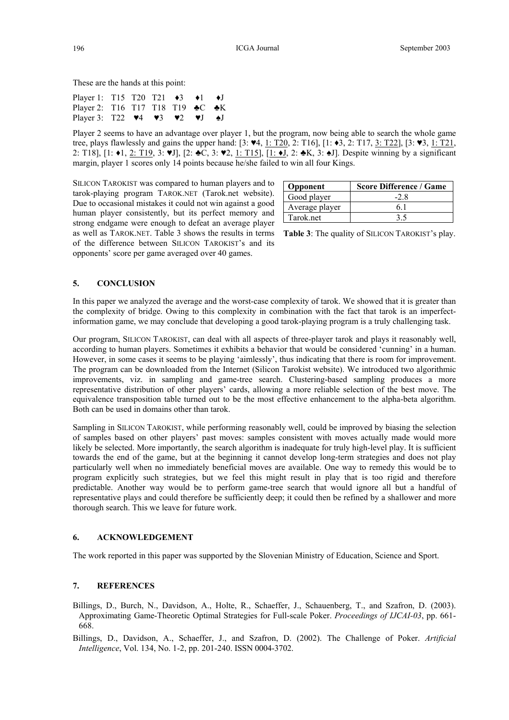These are the hands at this point:

| Player 1: T15 T20 T21 $\leftrightarrow$ 3 $\leftrightarrow$ 1 $\leftrightarrow$ J                                            |  |  |  |  |
|------------------------------------------------------------------------------------------------------------------------------|--|--|--|--|
| Player 2: T16 T17 T18 T19 ► C ► K                                                                                            |  |  |  |  |
| Player 3: T22 $\blacktriangledown 4$ $\blacktriangledown 3$ $\blacktriangledown 2$ $\blacktriangledown J$ $\blacktriangle J$ |  |  |  |  |

Player 2 seems to have an advantage over player 1, but the program, now being able to search the whole game tree, plays flawlessly and gains the upper hand: [3: ♥4, 1: T20, 2: T16], [1: ♦3, 2: T17, 3: T22], [3: ♥3, 1: T21, 2: T18], [1: ♦1, 2: T19, 3: ♥J], [2: ♣C, 3: ♥2, 1: T15], [1: ♦J, 2: ♣K, 3: ♠J]. Despite winning by a significant margin, player 1 scores only 14 points because he/she failed to win all four Kings.

SILICON TAROKIST was compared to human players and to tarok-playing program TAROK.NET (Tarok.net website). Due to occasional mistakes it could not win against a good human player consistently, but its perfect memory and strong endgame were enough to defeat an average player as well as TAROK.NET. Table 3 shows the results in terms **Table 3**: The quality of SILICON TAROKIST's play. of the difference between SILICON TAROKIST's and its opponents' score per game averaged over 40 games.

| <b>Opponent</b> | <b>Score Difference / Game</b> |
|-----------------|--------------------------------|
| Good player     | $-2.8$                         |
| Average player  |                                |
| Tarok.net       | 35                             |

### **5. CONCLUSION**

In this paper we analyzed the average and the worst-case complexity of tarok. We showed that it is greater than the complexity of bridge. Owing to this complexity in combination with the fact that tarok is an imperfectinformation game, we may conclude that developing a good tarok-playing program is a truly challenging task.

Our program, SILICON TAROKIST, can deal with all aspects of three-player tarok and plays it reasonably well, according to human players. Sometimes it exhibits a behavior that would be considered 'cunning' in a human. However, in some cases it seems to be playing 'aimlessly', thus indicating that there is room for improvement. The program can be downloaded from the Internet (Silicon Tarokist website). We introduced two algorithmic improvements, viz. in sampling and game-tree search. Clustering-based sampling produces a more representative distribution of other players' cards, allowing a more reliable selection of the best move. The equivalence transposition table turned out to be the most effective enhancement to the alpha-beta algorithm. Both can be used in domains other than tarok.

Sampling in SILICON TAROKIST, while performing reasonably well, could be improved by biasing the selection of samples based on other players' past moves: samples consistent with moves actually made would more likely be selected. More importantly, the search algorithm is inadequate for truly high-level play. It is sufficient towards the end of the game, but at the beginning it cannot develop long-term strategies and does not play particularly well when no immediately beneficial moves are available. One way to remedy this would be to program explicitly such strategies, but we feel this might result in play that is too rigid and therefore predictable. Another way would be to perform game-tree search that would ignore all but a handful of representative plays and could therefore be sufficiently deep; it could then be refined by a shallower and more thorough search. This we leave for future work.

## **6. ACKNOWLEDGEMENT**

The work reported in this paper was supported by the Slovenian Ministry of Education, Science and Sport.

### **7. REFERENCES**

Billings, D., Burch, N., Davidson, A., Holte, R., Schaeffer, J., Schauenberg, T., and Szafron, D. (2003). Approximating Game-Theoretic Optimal Strategies for Full-scale Poker. *Proceedings of IJCAI-03*, pp. 661- 668.

Billings, D., Davidson, A., Schaeffer, J., and Szafron, D. (2002). The Challenge of Poker. *Artificial Intelligence*, Vol. 134, No. 1-2, pp. 201-240. ISSN 0004-3702.